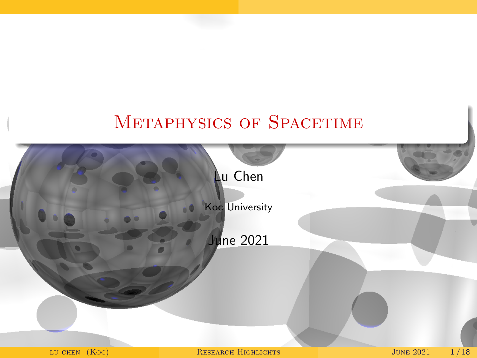### Metaphysics of Spacetime

<span id="page-0-0"></span>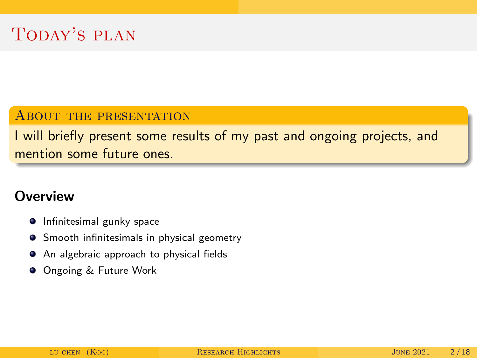#### ABOUT THE PRESENTATION

I will briefly present some results of my past and ongoing projects, and mention some future ones

### **Overview**

- **•** Infinitesimal gunky space
- **•** Smooth infinitesimals in physical geometry
- An algebraic approach to physical fields
- **O** Ongoing & Future Work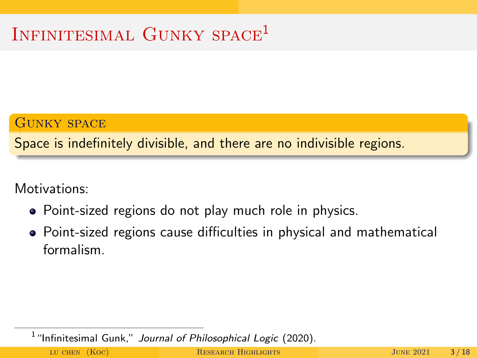# INFINITESIMAL GUNKY SPACE<sup>1</sup>

#### Gunky space

Space is indefinitely divisible, and there are no indivisible regions.

Motivations:

- Point-sized regions do not play much role in physics.
- Point-sized regions cause difficulties in physical and mathematical formalism.

 $<sup>1</sup>$  "Infinitesimal Gunk," Journal of Philosophical Logic (2020).</sup>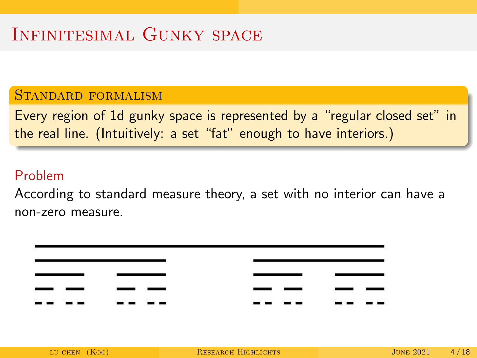# INFINITESIMAL GUNKY SPACE

### Standard formalism

Every region of 1d gunky space is represented by a "regular closed set" in the real line. (Intuitively: a set "fat" enough to have interiors.)

#### Problem

According to standard measure theory, a set with no interior can have a non-zero measure.

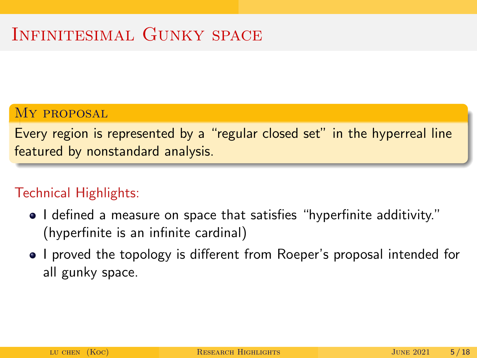# INFINITESIMAL GUNKY SPACE

#### MY PROPOSAL

Every region is represented by a "regular closed set" in the hyperreal line featured by nonstandard analysis.

### Technical Highlights:

- I defined a measure on space that satisfies "hyperfinite additivity." (hyperfinite is an infinite cardinal)
- I proved the topology is different from Roeper's proposal intended for all gunky space.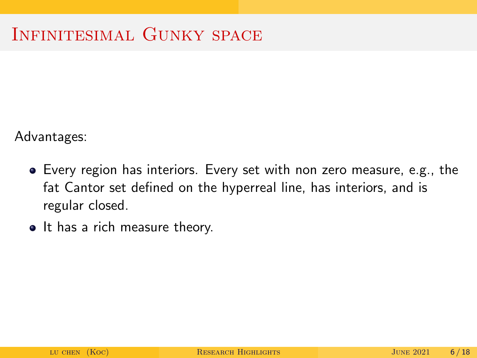Advantages:

- Every region has interiors. Every set with non zero measure, e.g., the fat Cantor set defined on the hyperreal line, has interiors, and is regular closed.
- It has a rich measure theory.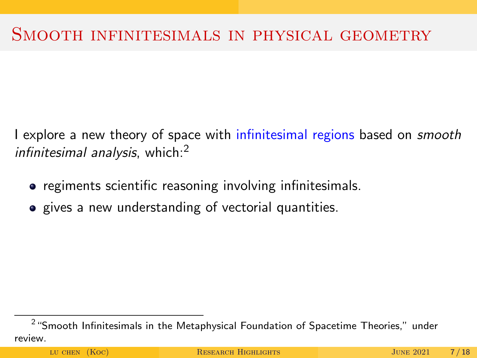### SMOOTH INFINITESIMALS IN PHYSICAL GEOMETRY

I explore a new theory of space with infinitesimal regions based on *smooth* infinitesimal analysis, which: $<sup>2</sup>$ </sup>

- regiments scientific reasoning involving infinitesimals.
- gives a new understanding of vectorial quantities.

 $^2$  "Smooth Infinitesimals in the Metaphysical Foundation of Spacetime Theories," under review.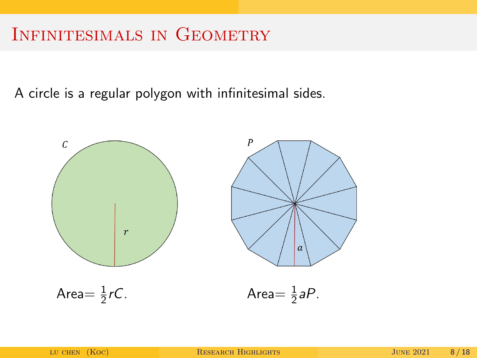## Infinitesimals in Geometry

A circle is a regular polygon with infinitesimal sides.

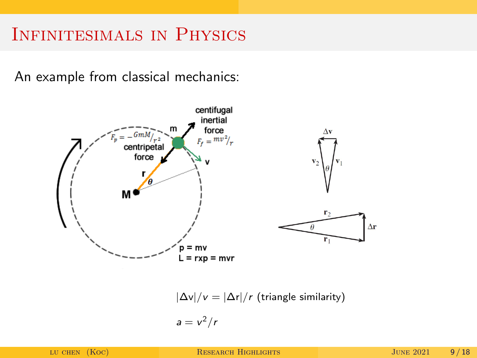## INFINITESIMALS IN PHYSICS

An example from classical mechanics:



 $|\Delta v|/v = |\Delta r|/r$  (triangle similarity)

$$
a=v^2/r
$$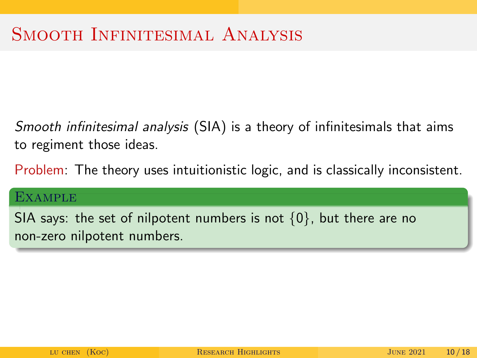Smooth infinitesimal analysis (SIA) is a theory of infinitesimals that aims to regiment those ideas.

Problem: The theory uses intuitionistic logic, and is classically inconsistent.

#### **EXAMPLE**

SIA says: the set of nilpotent numbers is not  $\{0\}$ , but there are no non-zero nilpotent numbers.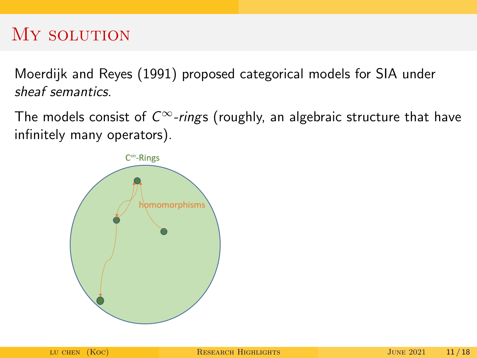### MY SOLUTION

Moerdijk and Reyes (1991) proposed categorical models for SIA under sheaf semantics.

The models consist of  $C^{\infty}$ -rings (roughly, an algebraic structure that have infinitely many operators).

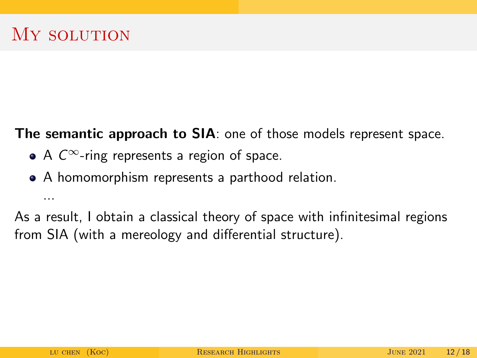...

The semantic approach to SIA: one of those models represent space.

- A  $C^{\infty}$ -ring represents a region of space.
- A homomorphism represents a parthood relation.

As a result, I obtain a classical theory of space with infinitesimal regions from SIA (with a mereology and differential structure).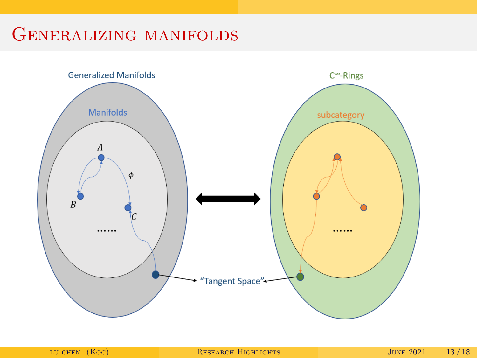# Generalizing manifolds

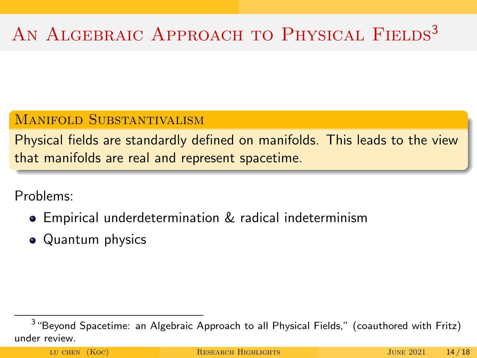# AN ALGEBRAIC APPROACH TO PHYSICAL FIELDS<sup>3</sup>

### MANIFOLD SUBSTANTIVALISM

Physical fields are standardly defined on manifolds. This leads to the view that manifolds are real and represent spacetime.

Problems:

- Empirical underdetermination & radical indeterminism
- Quantum physics

 $^3$  "Beyond Spacetime: an Algebraic Approach to all Physical Fields," (coauthored with Fritz) under review.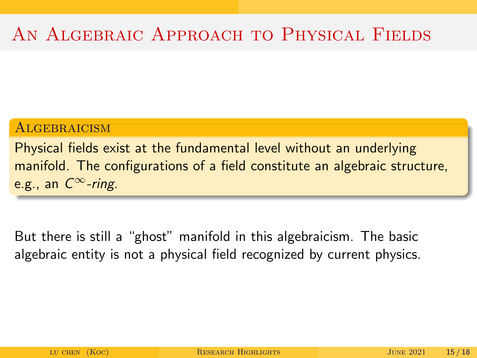# AN ALGEBRAIC APPROACH TO PHYSICAL FIELDS

#### **ALGEBRAICISM**

Physical fields exist at the fundamental level without an underlying manifold. The configurations of a field constitute an algebraic structure, e.g., an  $C^{\infty}$ -ring.

But there is still a "ghost" manifold in this algebraicism. The basic algebraic entity is not a physical field recognized by current physics.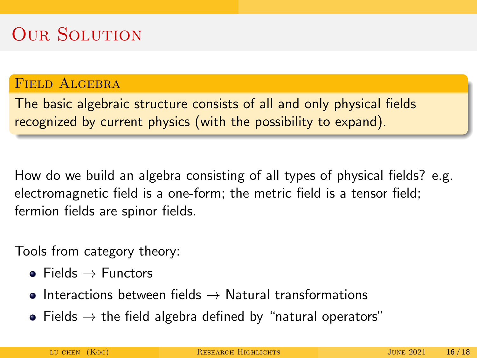# **OUR SOLUTION**

### FIELD ALGEBRA

The basic algebraic structure consists of all and only physical fields recognized by current physics (with the possibility to expand).

How do we build an algebra consisting of all types of physical fields? e.g. electromagnetic field is a one-form; the metric field is a tensor field; fermion fields are spinor fields.

Tools from category theory:

- $\bullet$  Fields  $\rightarrow$  Functors
- **•** Interactions between fields  $\rightarrow$  Natural transformations
- Fields  $\rightarrow$  the field algebra defined by "natural operators"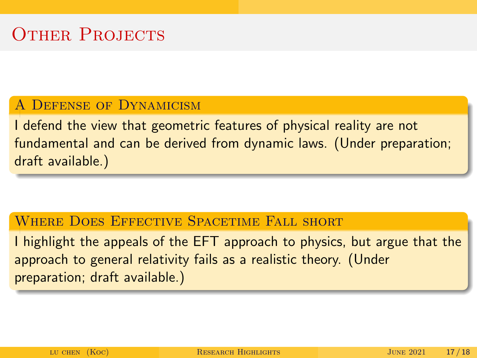#### A Defense of Dynamicism

I defend the view that geometric features of physical reality are not fundamental and can be derived from dynamic laws. (Under preparation; draft available.)

#### WHERE DOES EFFECTIVE SPACETIME FALL SHORT

I highlight the appeals of the EFT approach to physics, but argue that the approach to general relativity fails as a realistic theory. (Under preparation; draft available.)